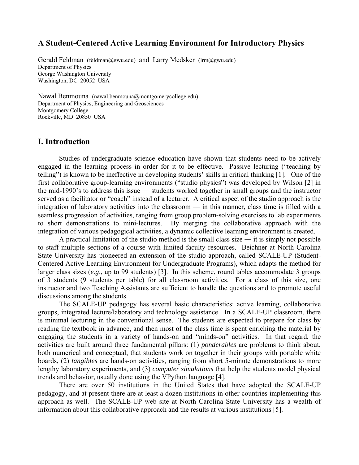# **A Student-Centered Active Learning Environment for Introductory Physics**

Gerald Feldman (feldman@gwu.edu) and Larry Medsker (lrm@gwu.edu) Department of Physics George Washington University Washington, DC 20052 USA

Nawal Benmouna (nawal.benmouna@montgomerycollege.edu) Department of Physics, Engineering and Geosciences Montgomery College Rockville, MD 20850 USA

## **I. Introduction**

Studies of undergraduate science education have shown that students need to be actively engaged in the learning process in order for it to be effective. Passive lecturing ("teaching by telling") is known to be ineffective in developing students' skills in critical thinking [1]. One of the first collaborative group-learning environments ("studio physics") was developed by Wilson [2] in the mid-1990's to address this issue ― students worked together in small groups and the instructor served as a facilitator or "coach" instead of a lecturer. A critical aspect of the studio approach is the integration of laboratory activities into the classroom ― in this manner, class time is filled with a seamless progression of activities, ranging from group problem-solving exercises to lab experiments to short demonstrations to mini-lectures. By merging the collaborative approach with the integration of various pedagogical activities, a dynamic collective learning environment is created.

A practical limitation of the studio method is the small class size — it is simply not possible to staff multiple sections of a course with limited faculty resources. Beichner at North Carolina State University has pioneered an extension of the studio approach, called SCALE-UP (Student-Centered Active Learning Environment for Undergraduate Programs), which adapts the method for larger class sizes (*e.g*., up to 99 students) [3]. In this scheme, round tables accommodate 3 groups of 3 students (9 students per table) for all classroom activities. For a class of this size, one instructor and two Teaching Assistants are sufficient to handle the questions and to promote useful discussions among the students.

The SCALE-UP pedagogy has several basic characteristics: active learning, collaborative groups, integrated lecture/laboratory and technology assistance. In a SCALE-UP classroom, there is minimal lecturing in the conventional sense. The students are expected to prepare for class by reading the textbook in advance, and then most of the class time is spent enriching the material by engaging the students in a variety of hands-on and "minds-on" activities. In that regard, the activities are built around three fundamental pillars: (1) *ponderables* are problems to think about, both numerical and conceptual, that students work on together in their groups with portable white boards, (2) *tangibles* are hands-on activities, ranging from short 5-minute demonstrations to more lengthy laboratory experiments, and (3) *computer simulations* that help the students model physical trends and behavior, usually done using the VPython language [4].

There are over 50 institutions in the United States that have adopted the SCALE-UP pedagogy, and at present there are at least a dozen institutions in other countries implementing this approach as well. The SCALE-UP web site at North Carolina State University has a wealth of information about this collaborative approach and the results at various institutions [5].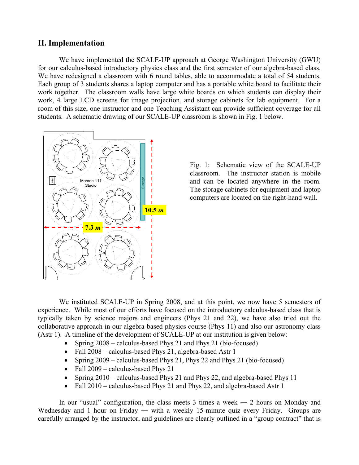## **II. Implementation**

We have implemented the SCALE-UP approach at George Washington University (GWU) for our calculus-based introductory physics class and the first semester of our algebra-based class. We have redesigned a classroom with 6 round tables, able to accommodate a total of 54 students. Each group of 3 students shares a laptop computer and has a portable white board to facilitate their work together. The classroom walls have large white boards on which students can display their work, 4 large LCD screens for image projection, and storage cabinets for lab equipment. For a room of this size, one instructor and one Teaching Assistant can provide sufficient coverage for all students. A schematic drawing of our SCALE-UP classroom is shown in Fig. 1 below.



Fig. 1: Schematic view of the SCALE-UP classroom. The instructor station is mobile and can be located anywhere in the room. The storage cabinets for equipment and laptop computers are located on the right-hand wall.

We instituted SCALE-UP in Spring 2008, and at this point, we now have 5 semesters of experience. While most of our efforts have focused on the introductory calculus-based class that is typically taken by science majors and engineers (Phys 21 and 22), we have also tried out the collaborative approach in our algebra-based physics course (Phys 11) and also our astronomy class (Astr 1). A timeline of the development of SCALE-UP at our institution is given below:

- Spring 2008 calculus-based Phys 21 and Phys 21 (bio-focused)
- Fall 2008 calculus-based Phys 21, algebra-based Astr 1
- Spring 2009 calculus-based Phys 21, Phys 22 and Phys 21 (bio-focused)
- Fall 2009 calculus-based Phys 21
- Spring 2010 calculus-based Phys 21 and Phys 22, and algebra-based Phys 11
- Fall 2010 calculus-based Phys 21 and Phys 22, and algebra-based Astr 1

In our "usual" configuration, the class meets  $3$  times a week  $-2$  hours on Monday and Wednesday and 1 hour on Friday — with a weekly 15-minute quiz every Friday. Groups are carefully arranged by the instructor, and guidelines are clearly outlined in a "group contract" that is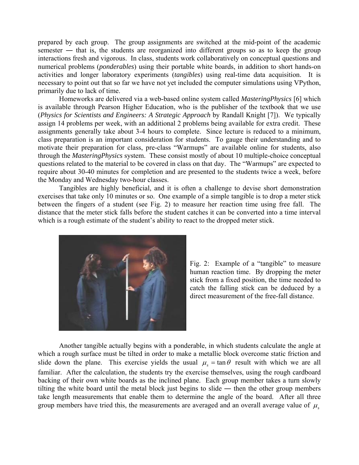prepared by each group. The group assignments are switched at the mid-point of the academic semester — that is, the students are reorganized into different groups so as to keep the group interactions fresh and vigorous. In class, students work collaboratively on conceptual questions and numerical problems (*ponderables*) using their portable white boards, in addition to short hands-on activities and longer laboratory experiments (*tangibles*) using real-time data acquisition. It is necessary to point out that so far we have not yet included the computer simulations using VPython, primarily due to lack of time.

Homeworks are delivered via a web-based online system called *MasteringPhysics* [6] which is available through Pearson Higher Education, who is the publisher of the textbook that we use (*Physics for Scientists and Engineers: A Strategic Approach* by Randall Knight [7]). We typically assign 14 problems per week, with an additional 2 problems being available for extra credit. These assignments generally take about 3-4 hours to complete. Since lecture is reduced to a minimum, class preparation is an important consideration for students. To gauge their understanding and to motivate their preparation for class, pre-class "Warmups" are available online for students, also through the *MasteringPhysics* system. These consist mostly of about 10 multiple-choice conceptual questions related to the material to be covered in class on that day. The "Warmups" are expected to require about 30-40 minutes for completion and are presented to the students twice a week, before the Monday and Wednesday two-hour classes.

Tangibles are highly beneficial, and it is often a challenge to devise short demonstration exercises that take only 10 minutes or so. One example of a simple tangible is to drop a meter stick between the fingers of a student (see Fig. 2) to measure her reaction time using free fall. The distance that the meter stick falls before the student catches it can be converted into a time interval which is a rough estimate of the student's ability to react to the dropped meter stick.



Fig. 2: Example of a "tangible" to measure human reaction time. By dropping the meter stick from a fixed position, the time needed to catch the falling stick can be deduced by a direct measurement of the free-fall distance.

Another tangible actually begins with a ponderable, in which students calculate the angle at which a rough surface must be tilted in order to make a metallic block overcome static friction and slide down the plane. This exercise yields the usual  $\mu_s = \tan \theta$  result with which we are all familiar. After the calculation, the students try the exercise themselves, using the rough cardboard backing of their own white boards as the inclined plane. Each group member takes a turn slowly tilting the white board until the metal block just begins to slide ― then the other group members take length measurements that enable them to determine the angle of the board. After all three group members have tried this, the measurements are averaged and an overall average value of  $\mu$ ,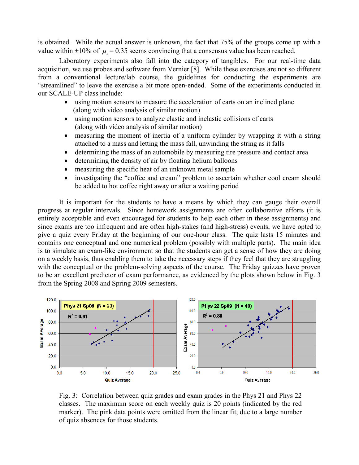is obtained. While the actual answer is unknown, the fact that 75% of the groups come up with a value within  $\pm 10\%$  of  $\mu$  = 0.35 seems convincing that a consensus value has been reached.

Laboratory experiments also fall into the category of tangibles. For our real-time data acquisition, we use probes and software from Vernier [8]. While these exercises are not so different from a conventional lecture/lab course, the guidelines for conducting the experiments are "streamlined" to leave the exercise a bit more open-ended. Some of the experiments conducted in our SCALE-UP class include:

- using motion sensors to measure the acceleration of carts on an inclined plane (along with video analysis of similar motion)
- using motion sensors to analyze elastic and inelastic collisions of carts (along with video analysis of similar motion)
- measuring the moment of inertia of a uniform cylinder by wrapping it with a string attached to a mass and letting the mass fall, unwinding the string as it falls
- determining the mass of an automobile by measuring tire pressure and contact area
- determining the density of air by floating helium balloons
- measuring the specific heat of an unknown metal sample
- investigating the "coffee and cream" problem to ascertain whether cool cream should be added to hot coffee right away or after a waiting period

It is important for the students to have a means by which they can gauge their overall progress at regular intervals. Since homework assignments are often collaborative efforts (it is entirely acceptable and even encouraged for students to help each other in these assignments) and since exams are too infrequent and are often high-stakes (and high-stress) events, we have opted to give a quiz every Friday at the beginning of our one-hour class. The quiz lasts 15 minutes and contains one conceptual and one numerical problem (possibly with multiple parts). The main idea is to simulate an exam-like environment so that the students can get a sense of how they are doing on a weekly basis, thus enabling them to take the necessary steps if they feel that they are struggling with the conceptual or the problem-solving aspects of the course. The Friday quizzes have proven to be an excellent predictor of exam performance, as evidenced by the plots shown below in Fig. 3 from the Spring 2008 and Spring 2009 semesters.



Fig. 3: Correlation between quiz grades and exam grades in the Phys 21 and Phys 22 classes. The maximum score on each weekly quiz is 20 points (indicated by the red marker). The pink data points were omitted from the linear fit, due to a large number of quiz absences for those students.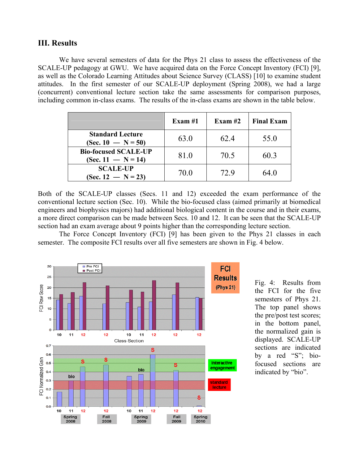## **III. Results**

We have several semesters of data for the Phys 21 class to assess the effectiveness of the SCALE-UP pedagogy at GWU. We have acquired data on the Force Concept Inventory (FCI) [9], as well as the Colorado Learning Attitudes about Science Survey (CLASS) [10] to examine student attitudes. In the first semester of our SCALE-UP deployment (Spring 2008), we had a large (concurrent) conventional lecture section take the same assessments for comparison purposes, including common in-class exams. The results of the in-class exams are shown in the table below.

|                                                     | Exam $#1$ | Exam $#2$ | <b>Final Exam</b> |
|-----------------------------------------------------|-----------|-----------|-------------------|
| <b>Standard Lecture</b><br>$(Sec. 10 - N = 50)$     | 63.0      | 62.4      | 55.0              |
| <b>Bio-focused SCALE-UP</b><br>$(Sec. 11 - N = 14)$ | 81.0      | 70.5      | 60.3              |
| <b>SCALE-UP</b><br>$(Sec. 12 - N = 23)$             | 70.0      | 72.9      | 64.0              |

Both of the SCALE-UP classes (Secs. 11 and 12) exceeded the exam performance of the conventional lecture section (Sec. 10). While the bio-focused class (aimed primarily at biomedical engineers and biophysics majors) had additional biological content in the course and in their exams, a more direct comparison can be made between Secs. 10 and 12. It can be seen that the SCALE-UP section had an exam average about 9 points higher than the corresponding lecture section.

 The Force Concept Inventory (FCI) [9] has been given to the Phys 21 classes in each semester. The composite FCI results over all five semesters are shown in Fig. 4 below.



Fig. 4: Results from the FCI for the five semesters of Phys 21. The top panel shows the pre/post test scores; in the bottom panel, the normalized gain is displayed. SCALE-UP sections are indicated by a red "S"; biofocused sections are indicated by "bio".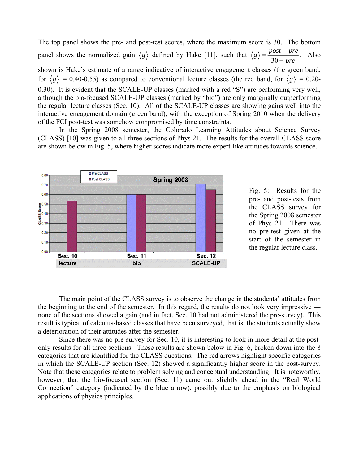The top panel shows the pre- and post-test scores, where the maximum score is 30. The bottom panel shows the normalized gain  $\langle g \rangle$  defined by Hake [11], such that  $g$  $\rangle = \frac{post - pre}{30 - pre}$ . Also

shown is Hake's estimate of a range indicative of interactive engagement classes (the green band, for  $\langle g \rangle$  = 0.40-0.55) as compared to conventional lecture classes (the red band, for  $\langle g \rangle$  = 0.20-0.30). It is evident that the SCALE-UP classes (marked with a red "S") are performing very well, although the bio-focused SCALE-UP classes (marked by "bio") are only marginally outperforming the regular lecture classes (Sec. 10). All of the SCALE-UP classes are showing gains well into the interactive engagement domain (green band), with the exception of Spring 2010 when the delivery of the FCI post-test was somehow compromised by time constraints.

 In the Spring 2008 semester, the Colorado Learning Attitudes about Science Survey (CLASS) [10] was given to all three sections of Phys 21. The results for the overall CLASS score are shown below in Fig. 5, where higher scores indicate more expert-like attitudes towards science.



Fig. 5: Results for the pre- and post-tests from the CLASS survey for the Spring 2008 semester of Phys 21. There was no pre-test given at the start of the semester in the regular lecture class.

 The main point of the CLASS survey is to observe the change in the students' attitudes from the beginning to the end of the semester. In this regard, the results do not look very impressive ― none of the sections showed a gain (and in fact, Sec. 10 had not administered the pre-survey). This result is typical of calculus-based classes that have been surveyed, that is, the students actually show a deterioration of their attitudes after the semester.

 Since there was no pre-survey for Sec. 10, it is interesting to look in more detail at the postonly results for all three sections. These results are shown below in Fig. 6, broken down into the 8 categories that are identified for the CLASS questions. The red arrows highlight specific categories in which the SCALE-UP section (Sec. 12) showed a significantly higher score in the post-survey. Note that these categories relate to problem solving and conceptual understanding. It is noteworthy, however, that the bio-focused section (Sec. 11) came out slightly ahead in the "Real World Connection" category (indicated by the blue arrow), possibly due to the emphasis on biological applications of physics principles.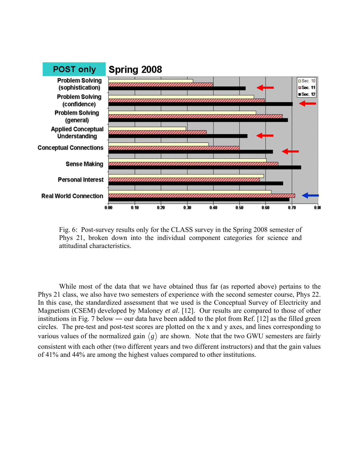

Fig. 6: Post-survey results only for the CLASS survey in the Spring 2008 semester of Phys 21, broken down into the individual component categories for science and attitudinal characteristics.

While most of the data that we have obtained thus far (as reported above) pertains to the Phys 21 class, we also have two semesters of experience with the second semester course, Phys 22. In this case, the standardized assessment that we used is the Conceptual Survey of Electricity and Magnetism (CSEM) developed by Maloney *et al*. [12]. Our results are compared to those of other institutions in Fig. 7 below ― our data have been added to the plot from Ref. [12] as the filled green circles. The pre-test and post-test scores are plotted on the x and y axes, and lines corresponding to various values of the normalized gain  $\langle g \rangle$  are shown. Note that the two GWU semesters are fairly consistent with each other (two different years and two different instructors) and that the gain values of 41% and 44% are among the highest values compared to other institutions.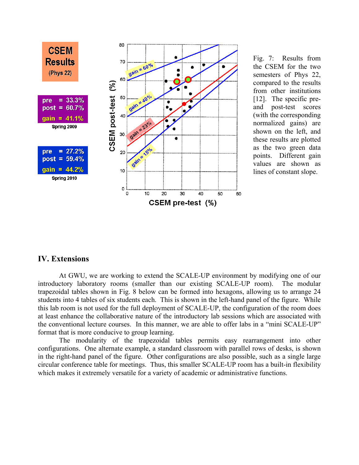

Fig. 7: Results from the CSEM for the two semesters of Phys 22, compared to the results from other institutions [12]. The specific preand post-test scores (with the corresponding normalized gains) are shown on the left, and these results are plotted as the two green data points. Different gain values are shown as lines of constant slope.

#### **IV. Extensions**

At GWU, we are working to extend the SCALE-UP environment by modifying one of our introductory laboratory rooms (smaller than our existing SCALE-UP room). The modular trapezoidal tables shown in Fig. 8 below can be formed into hexagons, allowing us to arrange 24 students into 4 tables of six students each. This is shown in the left-hand panel of the figure. While this lab room is not used for the full deployment of SCALE-UP, the configuration of the room does at least enhance the collaborative nature of the introductory lab sessions which are associated with the conventional lecture courses. In this manner, we are able to offer labs in a "mini SCALE-UP" format that is more conducive to group learning.

The modularity of the trapezoidal tables permits easy rearrangement into other configurations. One alternate example, a standard classroom with parallel rows of desks, is shown in the right-hand panel of the figure. Other configurations are also possible, such as a single large circular conference table for meetings. Thus, this smaller SCALE-UP room has a built-in flexibility which makes it extremely versatile for a variety of academic or administrative functions.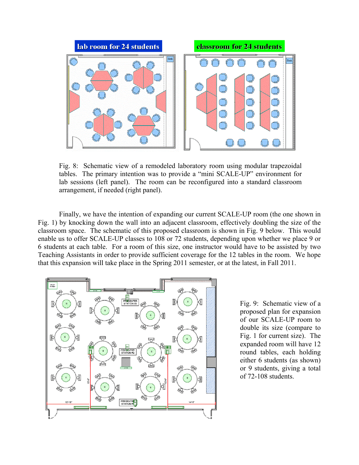

Fig. 8: Schematic view of a remodeled laboratory room using modular trapezoidal tables. The primary intention was to provide a "mini SCALE-UP" environment for lab sessions (left panel). The room can be reconfigured into a standard classroom arrangement, if needed (right panel).

Finally, we have the intention of expanding our current SCALE-UP room (the one shown in Fig. 1) by knocking down the wall into an adjacent classroom, effectively doubling the size of the classroom space. The schematic of this proposed classroom is shown in Fig. 9 below. This would enable us to offer SCALE-UP classes to 108 or 72 students, depending upon whether we place 9 or 6 students at each table. For a room of this size, one instructor would have to be assisted by two Teaching Assistants in order to provide sufficient coverage for the 12 tables in the room. We hope that this expansion will take place in the Spring 2011 semester, or at the latest, in Fall 2011.



Fig. 9: Schematic view of a proposed plan for expansion of our SCALE-UP room to double its size (compare to Fig. 1 for current size). The expanded room will have 12 round tables, each holding either 6 students (as shown) or 9 students, giving a total of 72-108 students.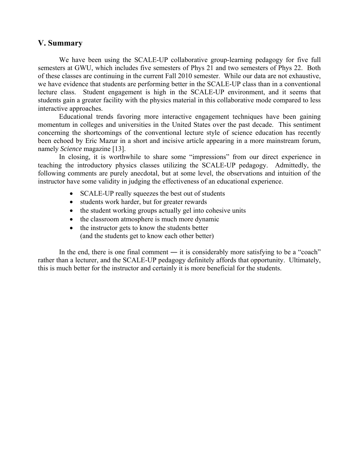## **V. Summary**

We have been using the SCALE-UP collaborative group-learning pedagogy for five full semesters at GWU, which includes five semesters of Phys 21 and two semesters of Phys 22. Both of these classes are continuing in the current Fall 2010 semester. While our data are not exhaustive, we have evidence that students are performing better in the SCALE-UP class than in a conventional lecture class. Student engagement is high in the SCALE-UP environment, and it seems that students gain a greater facility with the physics material in this collaborative mode compared to less interactive approaches.

Educational trends favoring more interactive engagement techniques have been gaining momentum in colleges and universities in the United States over the past decade. This sentiment concerning the shortcomings of the conventional lecture style of science education has recently been echoed by Eric Mazur in a short and incisive article appearing in a more mainstream forum, namely *Science* magazine [13].

In closing, it is worthwhile to share some "impressions" from our direct experience in teaching the introductory physics classes utilizing the SCALE-UP pedagogy. Admittedly, the following comments are purely anecdotal, but at some level, the observations and intuition of the instructor have some validity in judging the effectiveness of an educational experience.

- SCALE-UP really squeezes the best out of students
- students work harder, but for greater rewards
- the student working groups actually gel into cohesive units
- the classroom atmosphere is much more dynamic
- the instructor gets to know the students better (and the students get to know each other better)

In the end, there is one final comment — it is considerably more satisfying to be a "coach" rather than a lecturer, and the SCALE-UP pedagogy definitely affords that opportunity. Ultimately, this is much better for the instructor and certainly it is more beneficial for the students.